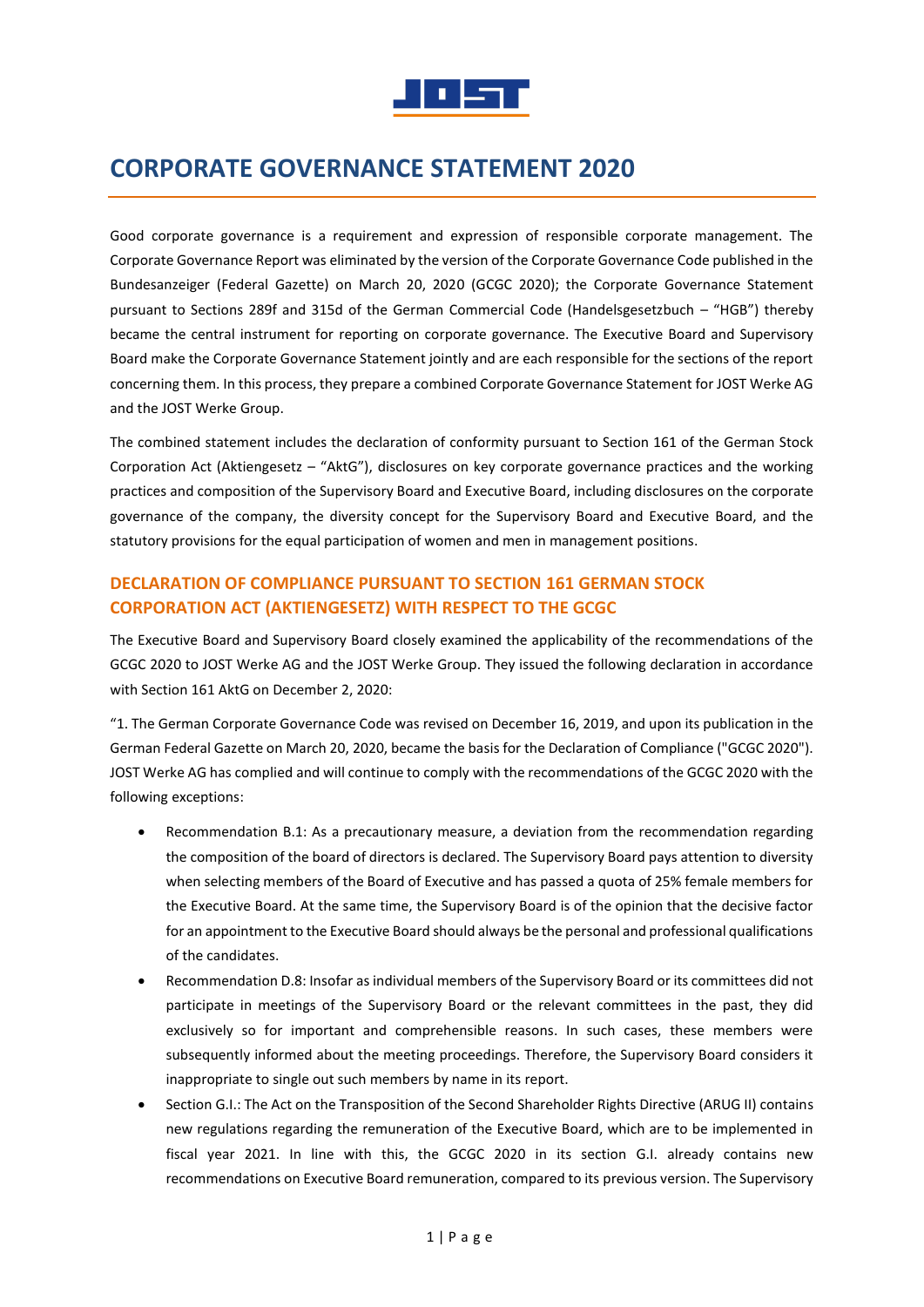

# **CORPORATE GOVERNANCE STATEMENT 2020**

Good corporate governance is a requirement and expression of responsible corporate management. The Corporate Governance Report was eliminated by the version of the Corporate Governance Code published in the Bundesanzeiger (Federal Gazette) on March 20, 2020 (GCGC 2020); the Corporate Governance Statement pursuant to Sections 289f and 315d of the German Commercial Code (Handelsgesetzbuch – "HGB") thereby became the central instrument for reporting on corporate governance. The Executive Board and Supervisory Board make the Corporate Governance Statement jointly and are each responsible for the sections of the report concerning them. In this process, they prepare a combined Corporate Governance Statement for JOST Werke AG and the JOST Werke Group.

The combined statement includes the declaration of conformity pursuant to Section 161 of the German Stock Corporation Act (Aktiengesetz – "AktG"), disclosures on key corporate governance practices and the working practices and composition of the Supervisory Board and Executive Board, including disclosures on the corporate governance of the company, the diversity concept for the Supervisory Board and Executive Board, and the statutory provisions for the equal participation of women and men in management positions.

# **DECLARATION OF COMPLIANCE PURSUANT TO SECTION 161 GERMAN STOCK CORPORATION ACT (AKTIENGESETZ) WITH RESPECT TO THE GCGC**

The Executive Board and Supervisory Board closely examined the applicability of the recommendations of the GCGC 2020 to JOST Werke AG and the JOST Werke Group. They issued the following declaration in accordance with Section 161 AktG on December 2, 2020:

"1. The German Corporate Governance Code was revised on December 16, 2019, and upon its publication in the German Federal Gazette on March 20, 2020, became the basis for the Declaration of Compliance ("GCGC 2020"). JOST Werke AG has complied and will continue to comply with the recommendations of the GCGC 2020 with the following exceptions:

- Recommendation B.1: As a precautionary measure, a deviation from the recommendation regarding the composition of the board of directors is declared. The Supervisory Board pays attention to diversity when selecting members of the Board of Executive and has passed a quota of 25% female members for the Executive Board. At the same time, the Supervisory Board is of the opinion that the decisive factor for an appointment to the Executive Board should always be the personal and professional qualifications of the candidates.
- Recommendation D.8: Insofar as individual members of the Supervisory Board or its committees did not participate in meetings of the Supervisory Board or the relevant committees in the past, they did exclusively so for important and comprehensible reasons. In such cases, these members were subsequently informed about the meeting proceedings. Therefore, the Supervisory Board considers it inappropriate to single out such members by name in its report.
- Section G.I.: The Act on the Transposition of the Second Shareholder Rights Directive (ARUG II) contains new regulations regarding the remuneration of the Executive Board, which are to be implemented in fiscal year 2021. In line with this, the GCGC 2020 in its section G.I. already contains new recommendations on Executive Board remuneration, compared to its previous version. The Supervisory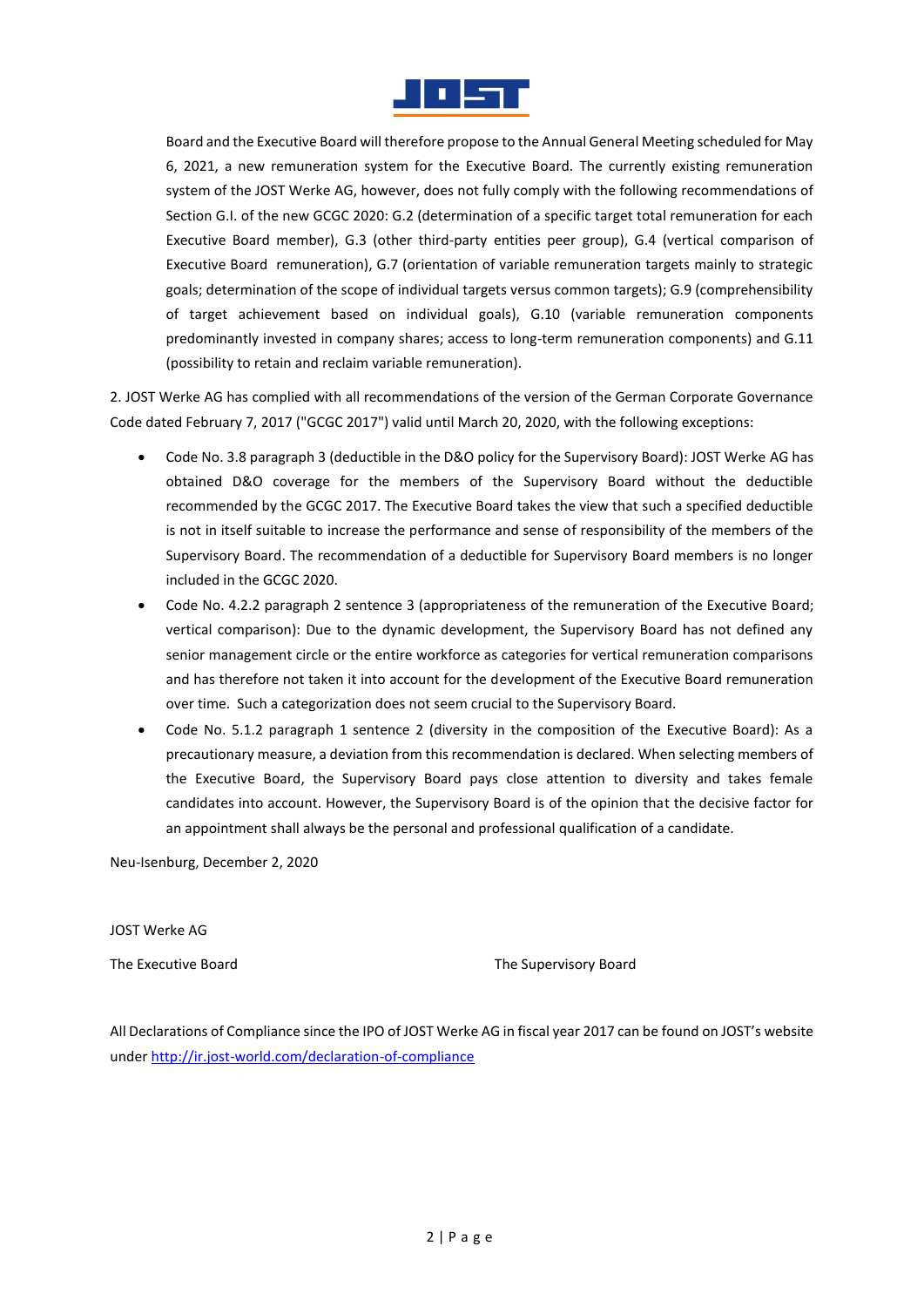

Board and the Executive Board will therefore propose to the Annual General Meeting scheduled for May 6, 2021, a new remuneration system for the Executive Board. The currently existing remuneration system of the JOST Werke AG, however, does not fully comply with the following recommendations of Section G.I. of the new GCGC 2020: G.2 (determination of a specific target total remuneration for each Executive Board member), G.3 (other third-party entities peer group), G.4 (vertical comparison of Executive Board remuneration), G.7 (orientation of variable remuneration targets mainly to strategic goals; determination of the scope of individual targets versus common targets); G.9 (comprehensibility of target achievement based on individual goals), G.10 (variable remuneration components predominantly invested in company shares; access to long-term remuneration components) and G.11 (possibility to retain and reclaim variable remuneration).

2. JOST Werke AG has complied with all recommendations of the version of the German Corporate Governance Code dated February 7, 2017 ("GCGC 2017") valid until March 20, 2020, with the following exceptions:

- Code No. 3.8 paragraph 3 (deductible in the D&O policy for the Supervisory Board): JOST Werke AG has obtained D&O coverage for the members of the Supervisory Board without the deductible recommended by the GCGC 2017. The Executive Board takes the view that such a specified deductible is not in itself suitable to increase the performance and sense of responsibility of the members of the Supervisory Board. The recommendation of a deductible for Supervisory Board members is no longer included in the GCGC 2020.
- Code No. 4.2.2 paragraph 2 sentence 3 (appropriateness of the remuneration of the Executive Board; vertical comparison): Due to the dynamic development, the Supervisory Board has not defined any senior management circle or the entire workforce as categories for vertical remuneration comparisons and has therefore not taken it into account for the development of the Executive Board remuneration over time. Such a categorization does not seem crucial to the Supervisory Board.
- Code No. 5.1.2 paragraph 1 sentence 2 (diversity in the composition of the Executive Board): As a precautionary measure, a deviation from this recommendation is declared. When selecting members of the Executive Board, the Supervisory Board pays close attention to diversity and takes female candidates into account. However, the Supervisory Board is of the opinion that the decisive factor for an appointment shall always be the personal and professional qualification of a candidate.

Neu-Isenburg, December 2, 2020

JOST Werke AG

The Executive Board The Supervisory Board

All Declarations of Compliance since the IPO of JOST Werke AG in fiscal year 2017 can be found on JOST's website unde[r http://ir.jost-world.com/declaration-of-compliance](http://ir.jost-world.com/declaration-of-compliance)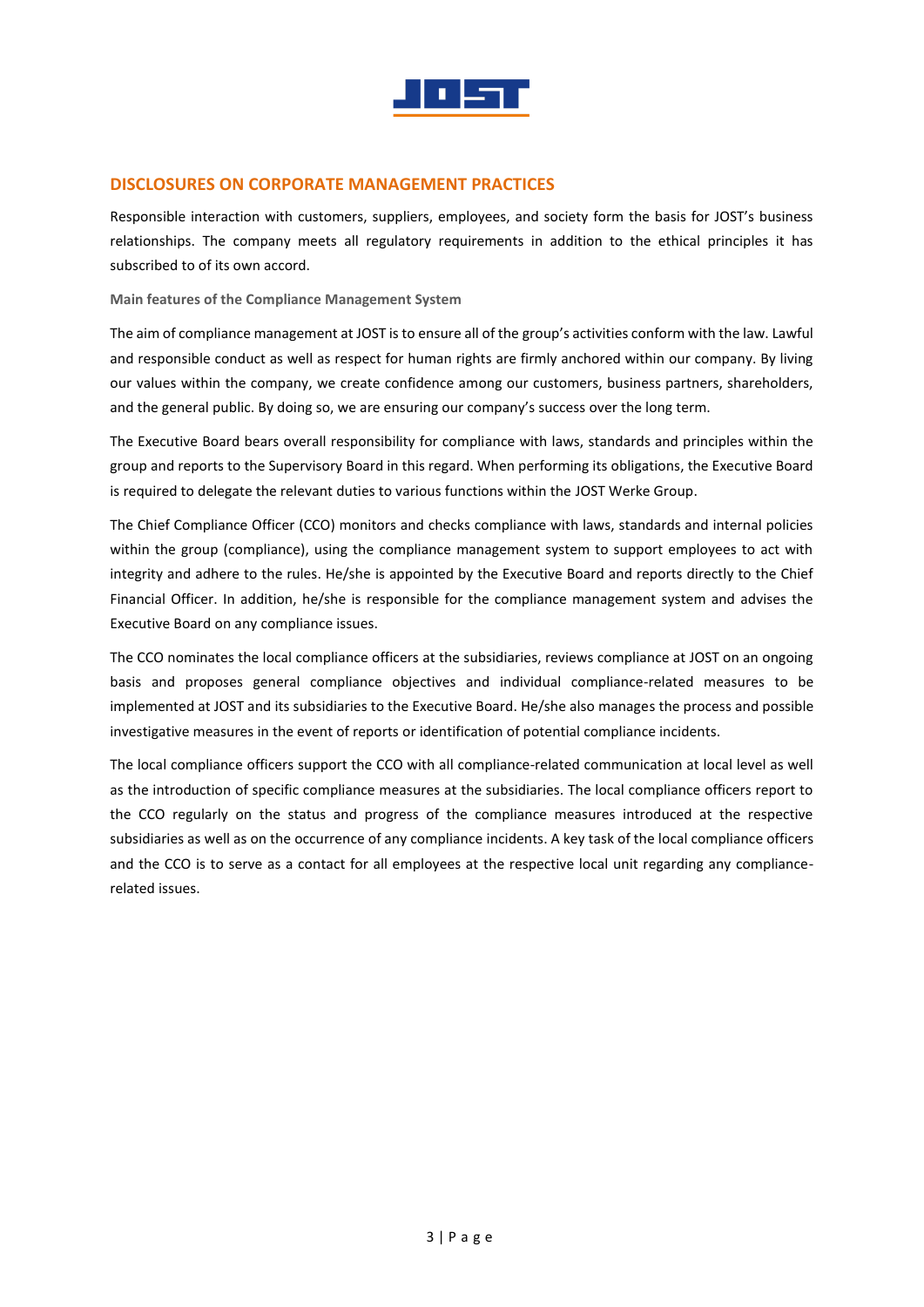

# **DISCLOSURES ON CORPORATE MANAGEMENT PRACTICES**

Responsible interaction with customers, suppliers, employees, and society form the basis for JOST's business relationships. The company meets all regulatory requirements in addition to the ethical principles it has subscribed to of its own accord.

**Main features of the Compliance Management System**

The aim of compliance management at JOST is to ensure all of the group's activities conform with the law. Lawful and responsible conduct as well as respect for human rights are firmly anchored within our company. By living our values within the company, we create confidence among our customers, business partners, shareholders, and the general public. By doing so, we are ensuring our company's success over the long term.

The Executive Board bears overall responsibility for compliance with laws, standards and principles within the group and reports to the Supervisory Board in this regard. When performing its obligations, the Executive Board is required to delegate the relevant duties to various functions within the JOST Werke Group.

The Chief Compliance Officer (CCO) monitors and checks compliance with laws, standards and internal policies within the group (compliance), using the compliance management system to support employees to act with integrity and adhere to the rules. He/she is appointed by the Executive Board and reports directly to the Chief Financial Officer. In addition, he/she is responsible for the compliance management system and advises the Executive Board on any compliance issues.

The CCO nominates the local compliance officers at the subsidiaries, reviews compliance at JOST on an ongoing basis and proposes general compliance objectives and individual compliance-related measures to be implemented at JOST and its subsidiaries to the Executive Board. He/she also manages the process and possible investigative measures in the event of reports or identification of potential compliance incidents.

The local compliance officers support the CCO with all compliance-related communication at local level as well as the introduction of specific compliance measures at the subsidiaries. The local compliance officers report to the CCO regularly on the status and progress of the compliance measures introduced at the respective subsidiaries as well as on the occurrence of any compliance incidents. A key task of the local compliance officers and the CCO is to serve as a contact for all employees at the respective local unit regarding any compliancerelated issues.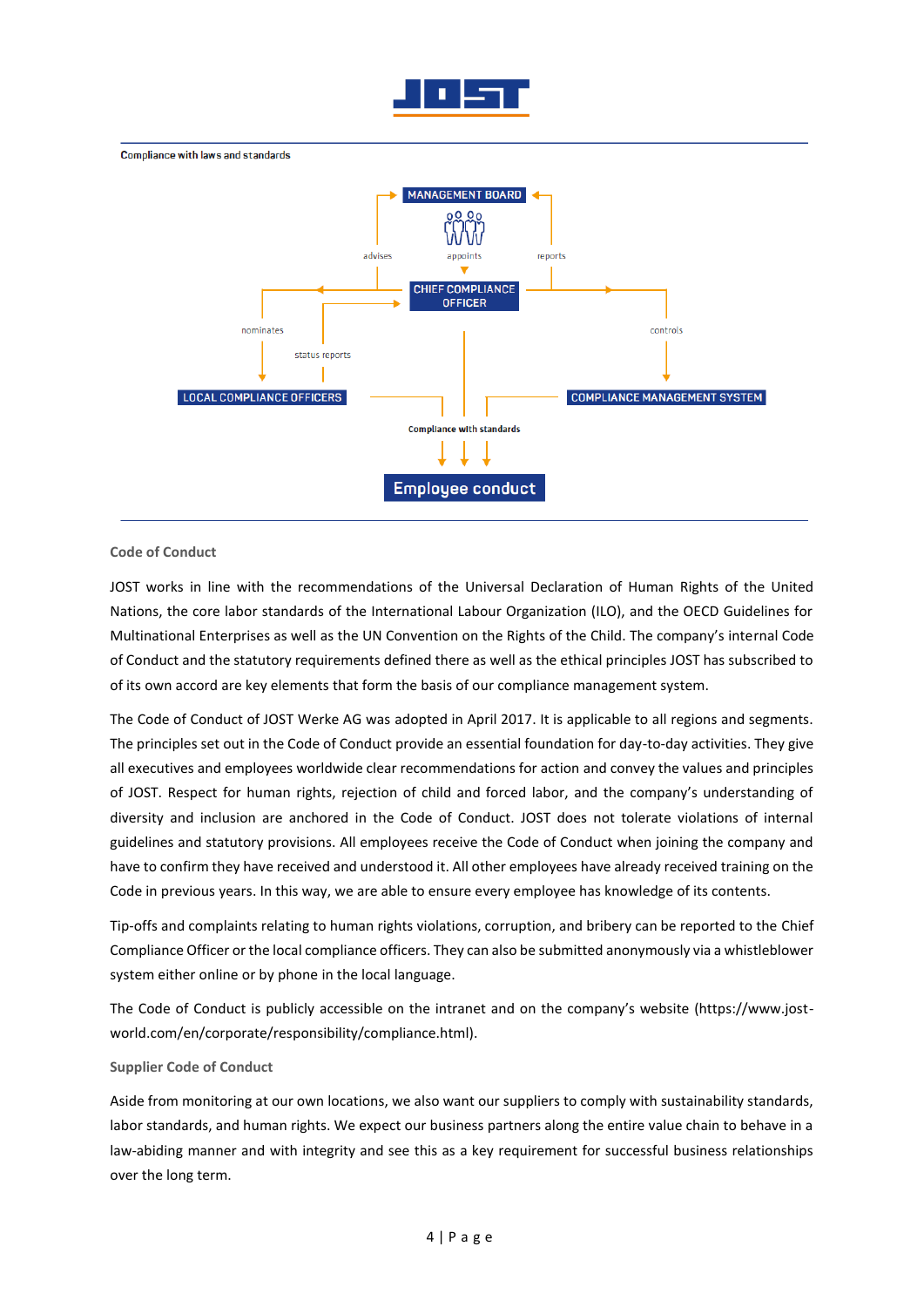



#### **Code of Conduct**

JOST works in line with the recommendations of the Universal Declaration of Human Rights of the United Nations, the core labor standards of the International Labour Organization (ILO), and the OECD Guidelines for Multinational Enterprises as well as the UN Convention on the Rights of the Child. The company's internal Code of Conduct and the statutory requirements defined there as well as the ethical principles JOST has subscribed to of its own accord are key elements that form the basis of our compliance management system.

The Code of Conduct of JOST Werke AG was adopted in April 2017. It is applicable to all regions and segments. The principles set out in the Code of Conduct provide an essential foundation for day-to-day activities. They give all executives and employees worldwide clear recommendations for action and convey the values and principles of JOST. Respect for human rights, rejection of child and forced labor, and the company's understanding of diversity and inclusion are anchored in the Code of Conduct. JOST does not tolerate violations of internal guidelines and statutory provisions. All employees receive the Code of Conduct when joining the company and have to confirm they have received and understood it. All other employees have already received training on the Code in previous years. In this way, we are able to ensure every employee has knowledge of its contents.

Tip-offs and complaints relating to human rights violations, corruption, and bribery can be reported to the Chief Compliance Officer or the local compliance officers. They can also be submitted anonymously via a whistleblower system either online or by phone in the local language.

The Code of Conduct is publicly accessible on the intranet and on the company's website (https://www.jostworld.com/en/corporate/responsibility/compliance.html).

#### **Supplier Code of Conduct**

Aside from monitoring at our own locations, we also want our suppliers to comply with sustainability standards, labor standards, and human rights. We expect our business partners along the entire value chain to behave in a law-abiding manner and with integrity and see this as a key requirement for successful business relationships over the long term.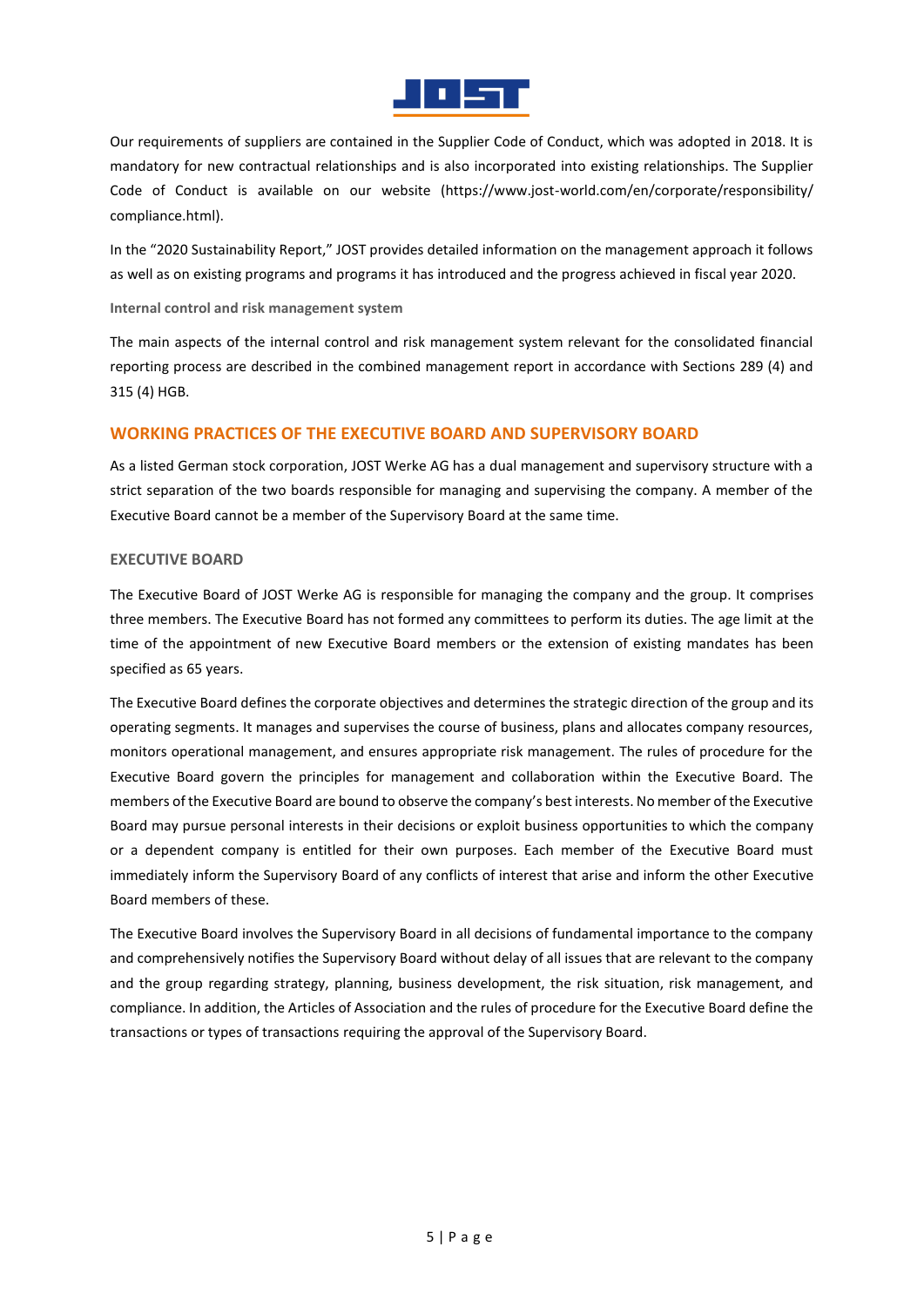

Our requirements of suppliers are contained in the Supplier Code of Conduct, which was adopted in 2018. It is mandatory for new contractual relationships and is also incorporated into existing relationships. The Supplier Code of Conduct is available on our website (https://www.jost-world.com/en/corporate/responsibility/ compliance.html).

In the "2020 Sustainability Report," JOST provides detailed information on the management approach it follows as well as on existing programs and programs it has introduced and the progress achieved in fiscal year 2020.

### **Internal control and risk management system**

The main aspects of the internal control and risk management system relevant for the consolidated financial reporting process are described in the combined management report in accordance with Sections 289 (4) and 315 (4) HGB.

# **WORKING PRACTICES OF THE EXECUTIVE BOARD AND SUPERVISORY BOARD**

As a listed German stock corporation, JOST Werke AG has a dual management and supervisory structure with a strict separation of the two boards responsible for managing and supervising the company. A member of the Executive Board cannot be a member of the Supervisory Board at the same time.

## **EXECUTIVE BOARD**

The Executive Board of JOST Werke AG is responsible for managing the company and the group. It comprises three members. The Executive Board has not formed any committees to perform its duties. The age limit at the time of the appointment of new Executive Board members or the extension of existing mandates has been specified as 65 years.

The Executive Board defines the corporate objectives and determines the strategic direction of the group and its operating segments. It manages and supervises the course of business, plans and allocates company resources, monitors operational management, and ensures appropriate risk management. The rules of procedure for the Executive Board govern the principles for management and collaboration within the Executive Board. The members of the Executive Board are bound to observe the company's best interests. No member of the Executive Board may pursue personal interests in their decisions or exploit business opportunities to which the company or a dependent company is entitled for their own purposes. Each member of the Executive Board must immediately inform the Supervisory Board of any conflicts of interest that arise and inform the other Executive Board members of these.

The Executive Board involves the Supervisory Board in all decisions of fundamental importance to the company and comprehensively notifies the Supervisory Board without delay of all issues that are relevant to the company and the group regarding strategy, planning, business development, the risk situation, risk management, and compliance. In addition, the Articles of Association and the rules of procedure for the Executive Board define the transactions or types of transactions requiring the approval of the Supervisory Board.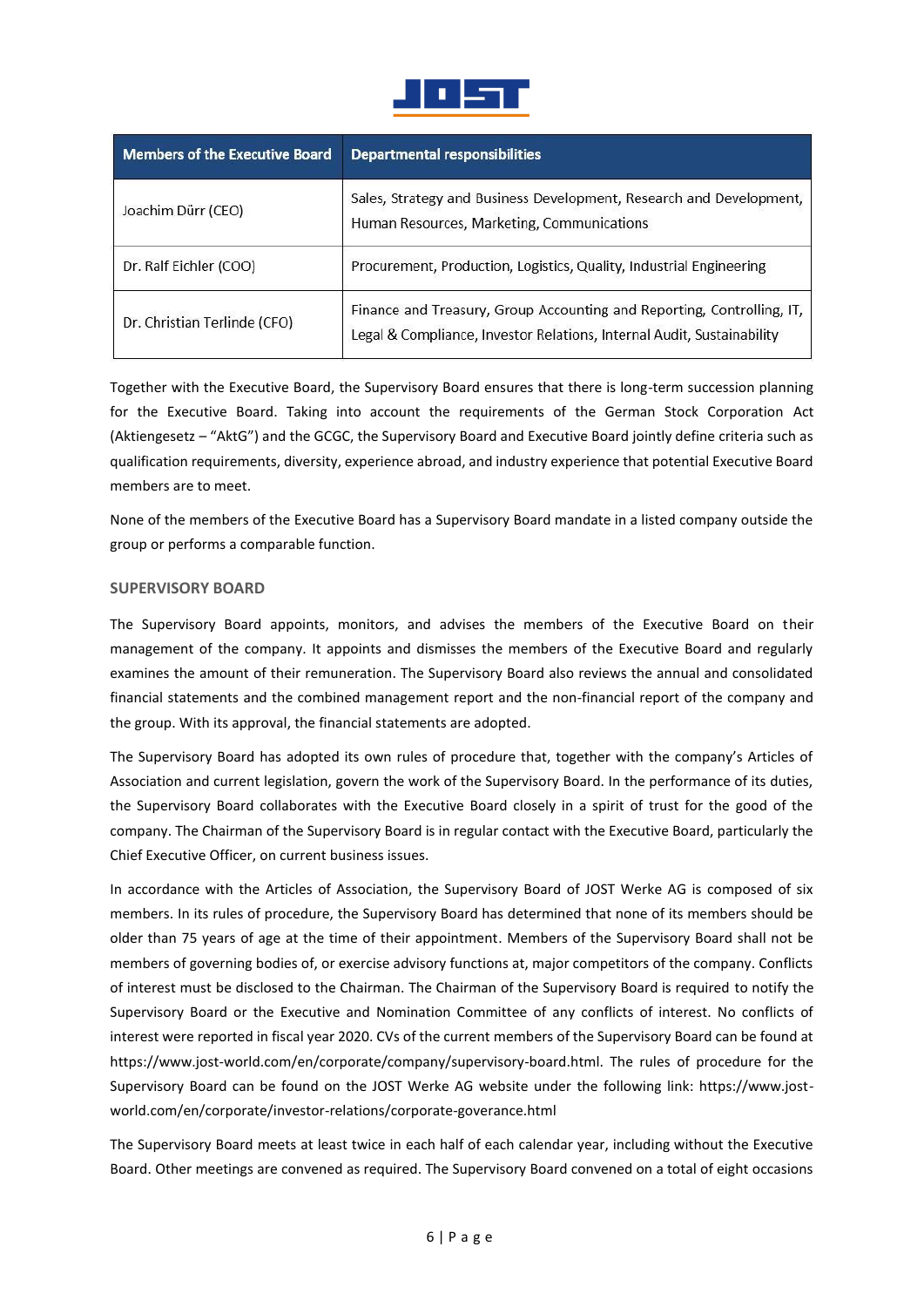

| <b>Members of the Executive Board</b> | <b>Departmental responsibilities</b>                                                                                                             |
|---------------------------------------|--------------------------------------------------------------------------------------------------------------------------------------------------|
| Joachim Dürr (CEO)                    | Sales, Strategy and Business Development, Research and Development,<br>Human Resources, Marketing, Communications                                |
| Dr. Ralf Eichler (COO)                | Procurement, Production, Logistics, Quality, Industrial Engineering                                                                              |
| Dr. Christian Terlinde (CFO)          | Finance and Treasury, Group Accounting and Reporting, Controlling, IT,<br>Legal & Compliance, Investor Relations, Internal Audit, Sustainability |

Together with the Executive Board, the Supervisory Board ensures that there is long-term succession planning for the Executive Board. Taking into account the requirements of the German Stock Corporation Act (Aktiengesetz – "AktG") and the GCGC, the Supervisory Board and Executive Board jointly define criteria such as qualification requirements, diversity, experience abroad, and industry experience that potential Executive Board members are to meet.

None of the members of the Executive Board has a Supervisory Board mandate in a listed company outside the group or performs a comparable function.

## **SUPERVISORY BOARD**

The Supervisory Board appoints, monitors, and advises the members of the Executive Board on their management of the company. It appoints and dismisses the members of the Executive Board and regularly examines the amount of their remuneration. The Supervisory Board also reviews the annual and consolidated financial statements and the combined management report and the non-financial report of the company and the group. With its approval, the financial statements are adopted.

The Supervisory Board has adopted its own rules of procedure that, together with the company's Articles of Association and current legislation, govern the work of the Supervisory Board. In the performance of its duties, the Supervisory Board collaborates with the Executive Board closely in a spirit of trust for the good of the company. The Chairman of the Supervisory Board is in regular contact with the Executive Board, particularly the Chief Executive Officer, on current business issues.

In accordance with the Articles of Association, the Supervisory Board of JOST Werke AG is composed of six members. In its rules of procedure, the Supervisory Board has determined that none of its members should be older than 75 years of age at the time of their appointment. Members of the Supervisory Board shall not be members of governing bodies of, or exercise advisory functions at, major competitors of the company. Conflicts of interest must be disclosed to the Chairman. The Chairman of the Supervisory Board is required to notify the Supervisory Board or the Executive and Nomination Committee of any conflicts of interest. No conflicts of interest were reported in fiscal year 2020. CVs of the current members of the Supervisory Board can be found at https://www.jost-world.com/en/corporate/company/supervisory-board.html. The rules of procedure for the Supervisory Board can be found on the JOST Werke AG website under the following link: https://www.jostworld.com/en/corporate/investor-relations/corporate-goverance.html

The Supervisory Board meets at least twice in each half of each calendar year, including without the Executive Board. Other meetings are convened as required. The Supervisory Board convened on a total of eight occasions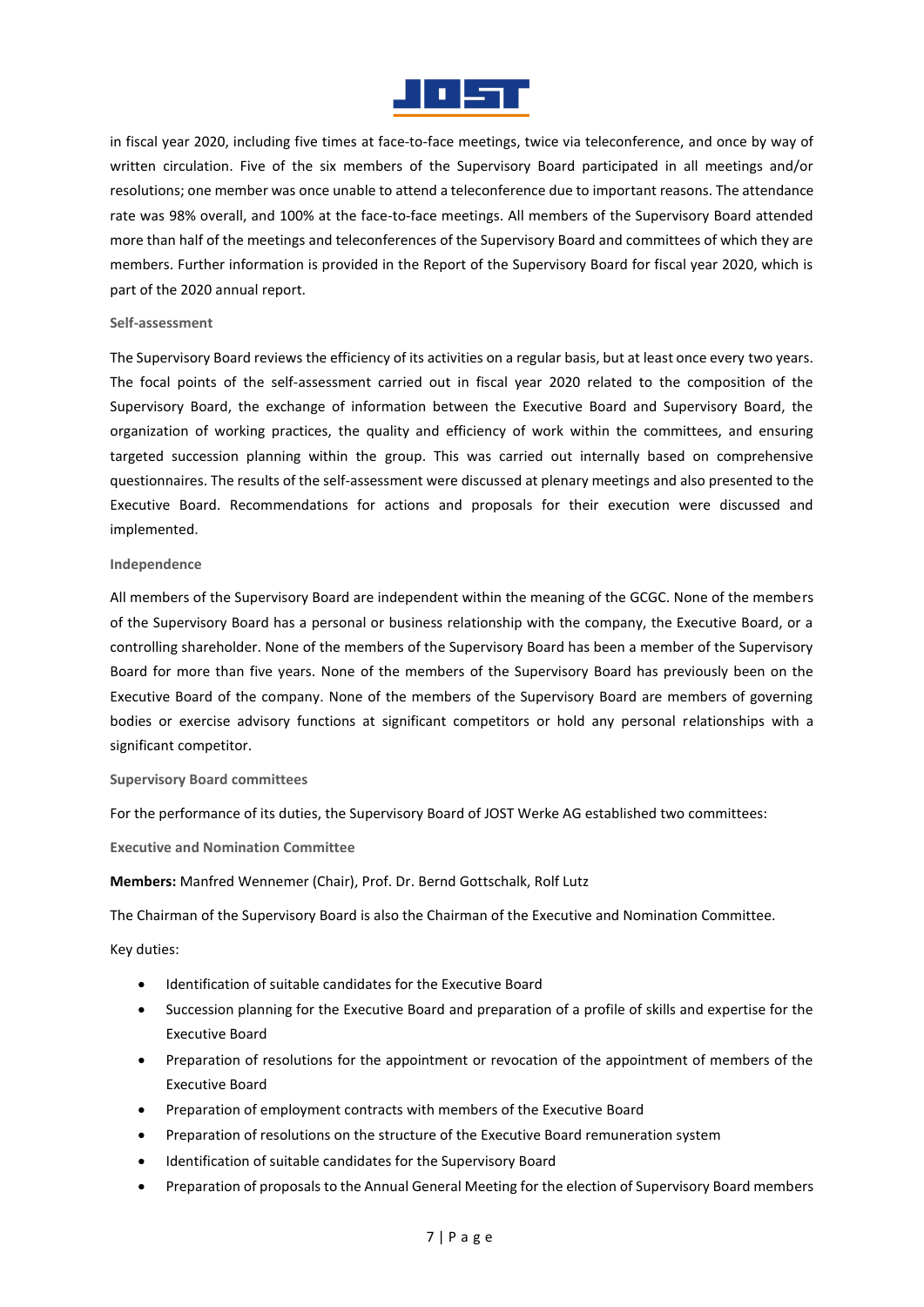

in fiscal year 2020, including five times at face-to-face meetings, twice via teleconference, and once by way of written circulation. Five of the six members of the Supervisory Board participated in all meetings and/or resolutions; one member was once unable to attend a teleconference due to important reasons. The attendance rate was 98% overall, and 100% at the face-to-face meetings. All members of the Supervisory Board attended more than half of the meetings and teleconferences of the Supervisory Board and committees of which they are members. Further information is provided in the Report of the Supervisory Board for fiscal year 2020, which is part of the 2020 annual report.

#### **Self-assessment**

The Supervisory Board reviews the efficiency of its activities on a regular basis, but at least once every two years. The focal points of the self-assessment carried out in fiscal year 2020 related to the composition of the Supervisory Board, the exchange of information between the Executive Board and Supervisory Board, the organization of working practices, the quality and efficiency of work within the committees, and ensuring targeted succession planning within the group. This was carried out internally based on comprehensive questionnaires. The results of the self-assessment were discussed at plenary meetings and also presented to the Executive Board. Recommendations for actions and proposals for their execution were discussed and implemented.

#### **Independence**

All members of the Supervisory Board are independent within the meaning of the GCGC. None of the members of the Supervisory Board has a personal or business relationship with the company, the Executive Board, or a controlling shareholder. None of the members of the Supervisory Board has been a member of the Supervisory Board for more than five years. None of the members of the Supervisory Board has previously been on the Executive Board of the company. None of the members of the Supervisory Board are members of governing bodies or exercise advisory functions at significant competitors or hold any personal relationships with a significant competitor.

#### **Supervisory Board committees**

For the performance of its duties, the Supervisory Board of JOST Werke AG established two committees:

**Executive and Nomination Committee**

**Members:** Manfred Wennemer (Chair), Prof. Dr. Bernd Gottschalk, Rolf Lutz

The Chairman of the Supervisory Board is also the Chairman of the Executive and Nomination Committee.

Key duties:

- Identification of suitable candidates for the Executive Board
- Succession planning for the Executive Board and preparation of a profile of skills and expertise for the Executive Board
- Preparation of resolutions for the appointment or revocation of the appointment of members of the Executive Board
- Preparation of employment contracts with members of the Executive Board
- Preparation of resolutions on the structure of the Executive Board remuneration system
- Identification of suitable candidates for the Supervisory Board
- Preparation of proposals to the Annual General Meeting for the election of Supervisory Board members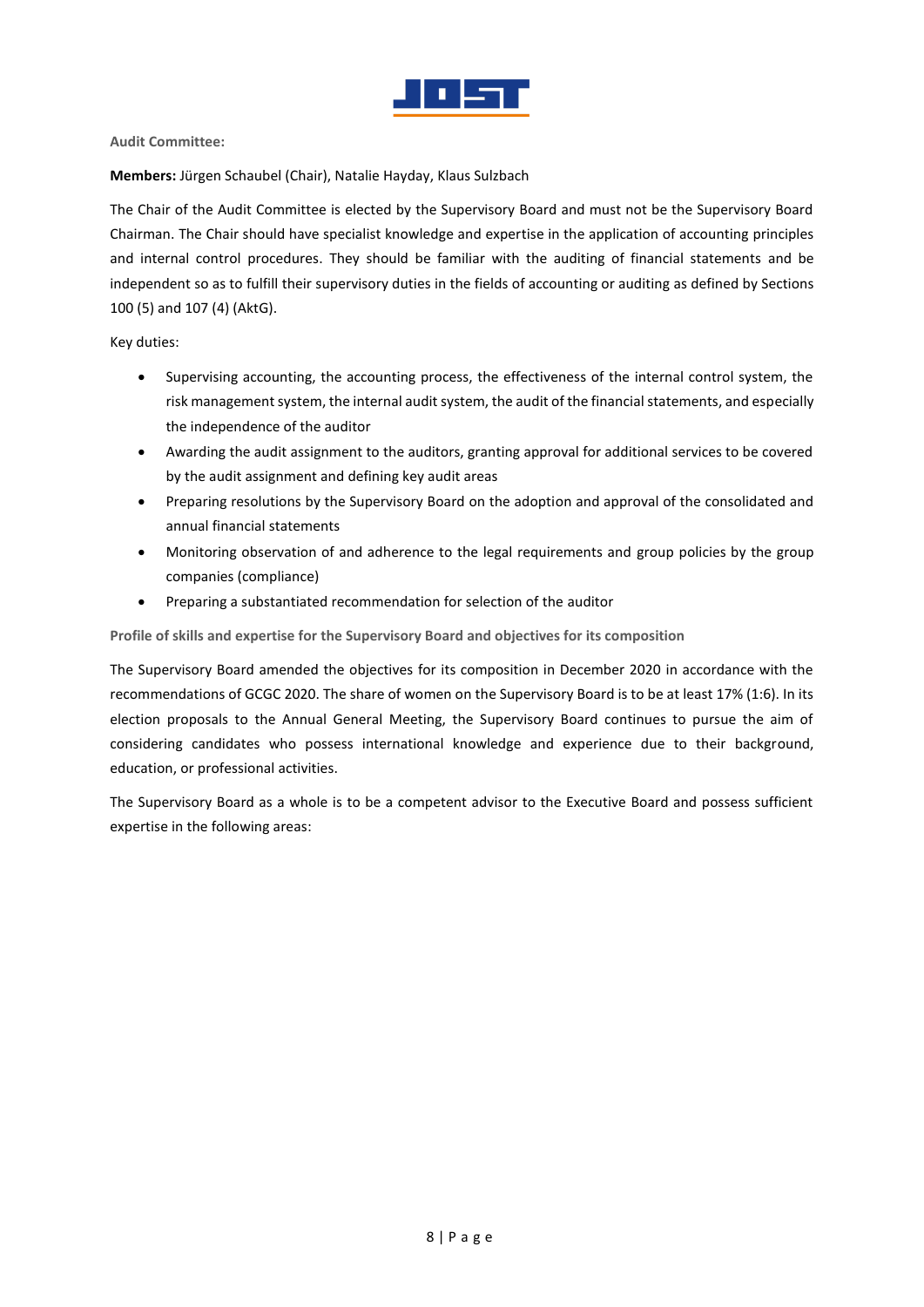

**Audit Committee:**

**Members:** Jürgen Schaubel (Chair), Natalie Hayday, Klaus Sulzbach

The Chair of the Audit Committee is elected by the Supervisory Board and must not be the Supervisory Board Chairman. The Chair should have specialist knowledge and expertise in the application of accounting principles and internal control procedures. They should be familiar with the auditing of financial statements and be independent so as to fulfill their supervisory duties in the fields of accounting or auditing as defined by Sections 100 (5) and 107 (4) (AktG).

Key duties:

- Supervising accounting, the accounting process, the effectiveness of the internal control system, the risk management system, the internal audit system, the audit of the financial statements, and especially the independence of the auditor
- Awarding the audit assignment to the auditors, granting approval for additional services to be covered by the audit assignment and defining key audit areas
- Preparing resolutions by the Supervisory Board on the adoption and approval of the consolidated and annual financial statements
- Monitoring observation of and adherence to the legal requirements and group policies by the group companies (compliance)
- Preparing a substantiated recommendation for selection of the auditor

**Profile of skills and expertise for the Supervisory Board and objectives for its composition**

The Supervisory Board amended the objectives for its composition in December 2020 in accordance with the recommendations of GCGC 2020. The share of women on the Supervisory Board is to be at least 17% (1:6). In its election proposals to the Annual General Meeting, the Supervisory Board continues to pursue the aim of considering candidates who possess international knowledge and experience due to their background, education, or professional activities.

The Supervisory Board as a whole is to be a competent advisor to the Executive Board and possess sufficient expertise in the following areas: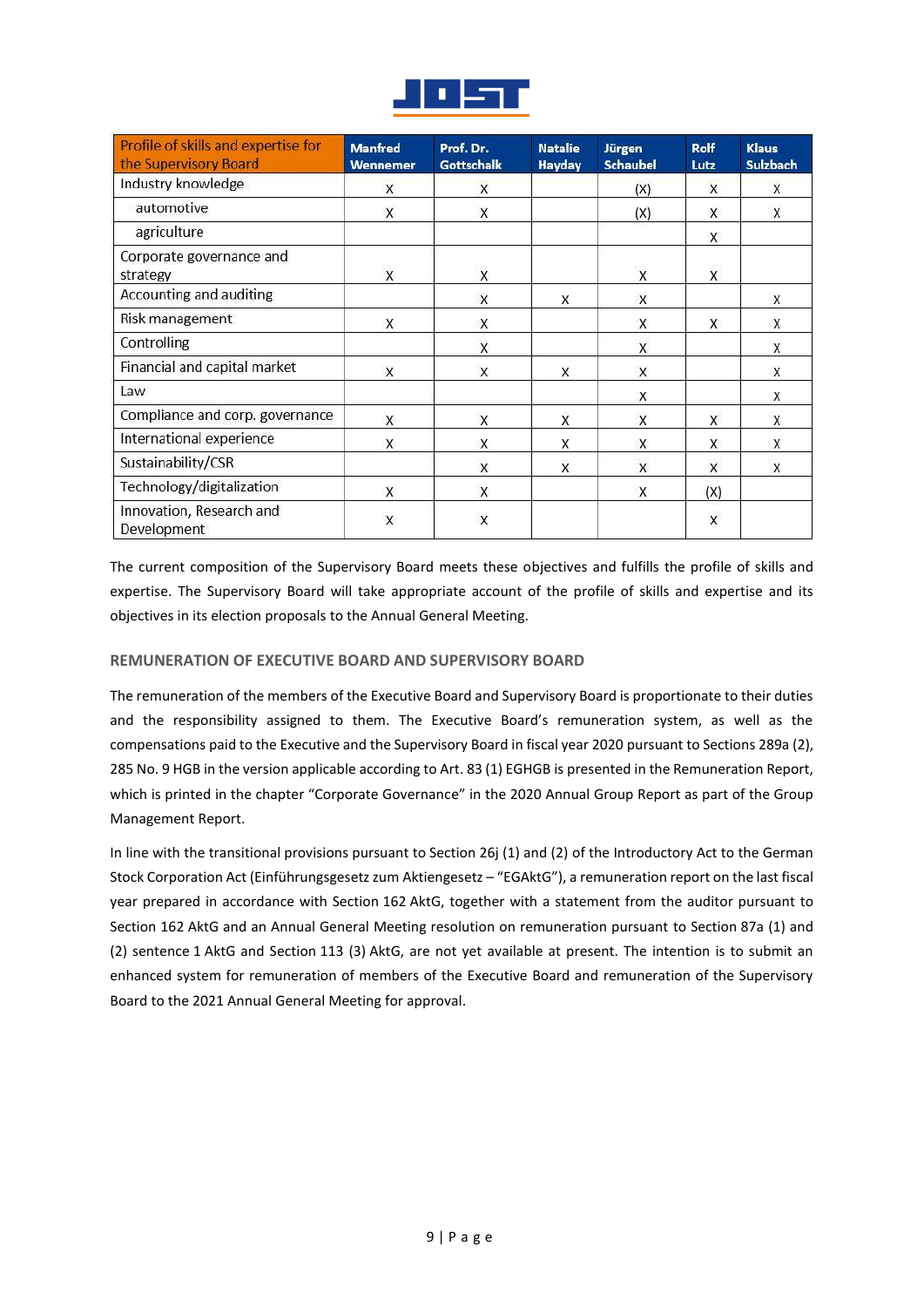

| Profile of skills and expertise for<br>the Supervisory Board | <b>Manfred</b><br><b>Wennemer</b> | Prof. Dr.<br>Gottschalk | <b>Natalie</b><br><b>Hayday</b> | Jürgen<br><b>Schaubel</b> | <b>Rolf</b><br>Lutz     | <b>Klaus</b><br><b>Sulzbach</b> |
|--------------------------------------------------------------|-----------------------------------|-------------------------|---------------------------------|---------------------------|-------------------------|---------------------------------|
| Industry knowledge                                           | X                                 | X                       |                                 | (X)                       | X                       | X                               |
| automotive                                                   | X                                 | X                       |                                 | (X)                       | X                       | X                               |
| agriculture                                                  |                                   |                         |                                 |                           | X                       |                                 |
| Corporate governance and<br>strategy                         | $\overline{\mathsf{x}}$           | $\mathsf{x}$            |                                 | $\mathsf{x}$              | $\overline{\mathsf{x}}$ |                                 |
| Accounting and auditing                                      |                                   | X                       | X                               | X                         |                         | X                               |
| Risk management                                              | X                                 | X                       |                                 | X                         | X                       | X                               |
| Controlling                                                  |                                   | X                       |                                 | X                         |                         | X                               |
| Financial and capital market                                 | X                                 | X                       | X                               | X                         |                         | X                               |
| Law                                                          |                                   |                         |                                 | X                         |                         | X                               |
| Compliance and corp. governance                              | $\mathsf{X}$                      | $\mathsf{X}$            | X                               | $\mathsf{X}$              | X                       | X                               |
| International experience                                     | X                                 | X                       | X                               | X                         | X                       | X                               |
| Sustainability/CSR                                           |                                   | X                       | $\overline{\mathsf{x}}$         | X                         | X                       | X                               |
| Technology/digitalization                                    | $\mathsf{X}$                      | X                       |                                 | X                         | (X)                     |                                 |
| Innovation, Research and<br>Development                      | $\overline{\mathsf{x}}$           | $\overline{\mathsf{x}}$ |                                 |                           | $\overline{\mathsf{x}}$ |                                 |

The current composition of the Supervisory Board meets these objectives and fulfills the profile of skills and expertise. The Supervisory Board will take appropriate account of the profile of skills and expertise and its objectives in its election proposals to the Annual General Meeting.

# **REMUNERATION OF EXECUTIVE BOARD AND SUPERVISORY BOARD**

The remuneration of the members of the Executive Board and Supervisory Board is proportionate to their duties and the responsibility assigned to them. The Executive Board's remuneration system, as well as the compensations paid to the Executive and the Supervisory Board in fiscal year 2020 pursuant to Sections 289a (2), 285 No. 9 HGB in the version applicable according to Art. 83 (1) EGHGB is presented in the Remuneration Report, which is printed in the chapter "Corporate Governance" in the 2020 Annual Group Report as part of the Group Management Report.

In line with the transitional provisions pursuant to Section 26j (1) and (2) of the Introductory Act to the German Stock Corporation Act (Einführungsgesetz zum Aktiengesetz – "EGAktG"), a remuneration report on the last fiscal year prepared in accordance with Section 162 AktG, together with a statement from the auditor pursuant to Section 162 AktG and an Annual General Meeting resolution on remuneration pursuant to Section 87a (1) and (2) sentence 1 AktG and Section 113 (3) AktG, are not yet available at present. The intention is to submit an enhanced system for remuneration of members of the Executive Board and remuneration of the Supervisory Board to the 2021 Annual General Meeting for approval.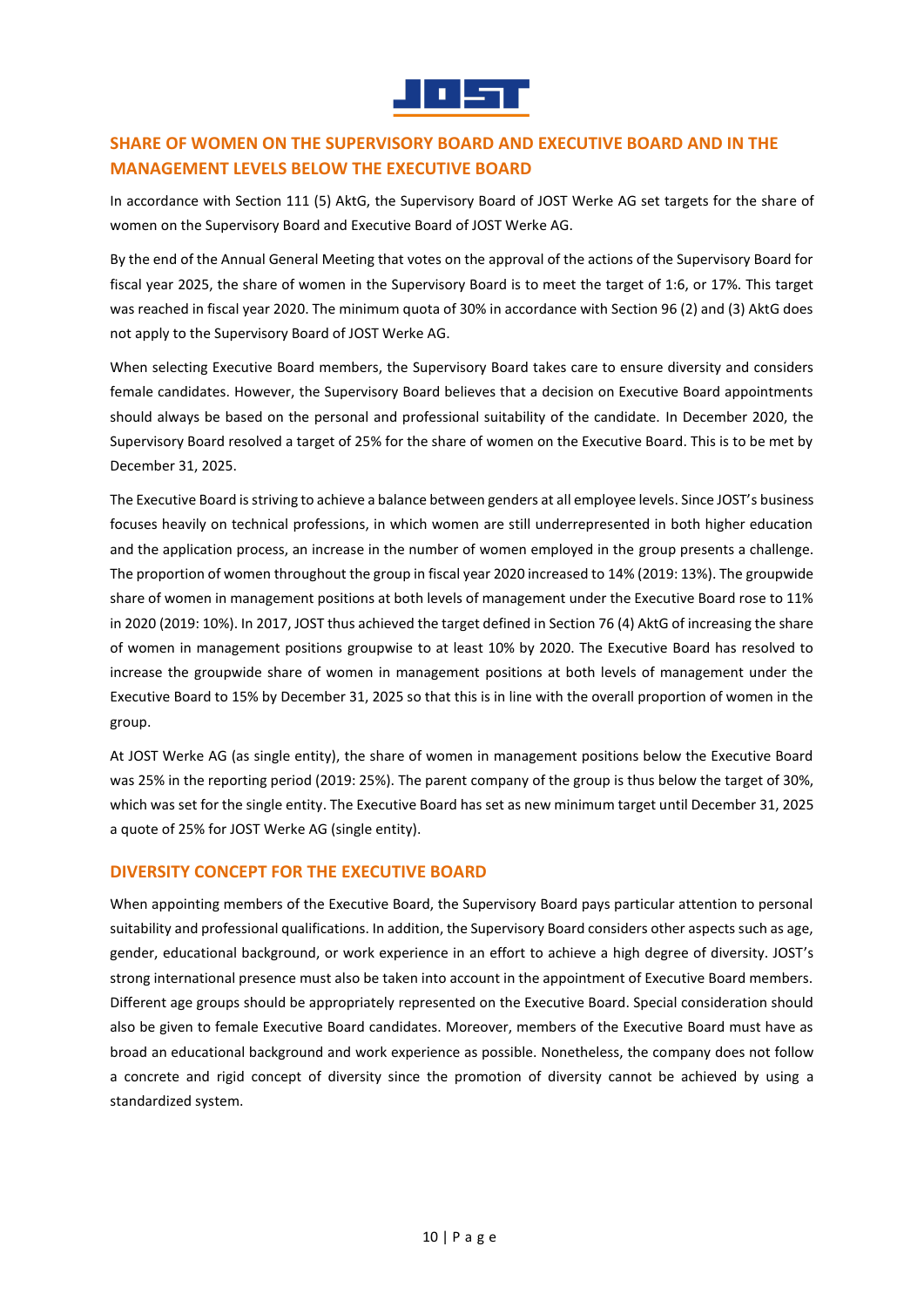

# **SHARE OF WOMEN ON THE SUPERVISORY BOARD AND EXECUTIVE BOARD AND IN THE MANAGEMENT LEVELS BELOW THE EXECUTIVE BOARD**

In accordance with Section 111 (5) AktG, the Supervisory Board of JOST Werke AG set targets for the share of women on the Supervisory Board and Executive Board of JOST Werke AG.

By the end of the Annual General Meeting that votes on the approval of the actions of the Supervisory Board for fiscal year 2025, the share of women in the Supervisory Board is to meet the target of 1:6, or 17%. This target was reached in fiscal year 2020. The minimum quota of 30% in accordance with Section 96 (2) and (3) AktG does not apply to the Supervisory Board of JOST Werke AG.

When selecting Executive Board members, the Supervisory Board takes care to ensure diversity and considers female candidates. However, the Supervisory Board believes that a decision on Executive Board appointments should always be based on the personal and professional suitability of the candidate. In December 2020, the Supervisory Board resolved a target of 25% for the share of women on the Executive Board. This is to be met by December 31, 2025.

The Executive Board is striving to achieve a balance between genders at all employee levels. Since JOST's business focuses heavily on technical professions, in which women are still underrepresented in both higher education and the application process, an increase in the number of women employed in the group presents a challenge. The proportion of women throughout the group in fiscal year 2020 increased to 14% (2019: 13%). The groupwide share of women in management positions at both levels of management under the Executive Board rose to 11% in 2020 (2019: 10%). In 2017, JOST thus achieved the target defined in Section 76 (4) AktG of increasing the share of women in management positions groupwise to at least 10% by 2020. The Executive Board has resolved to increase the groupwide share of women in management positions at both levels of management under the Executive Board to 15% by December 31, 2025 so that this is in line with the overall proportion of women in the group.

At JOST Werke AG (as single entity), the share of women in management positions below the Executive Board was 25% in the reporting period (2019: 25%). The parent company of the group is thus below the target of 30%, which was set for the single entity. The Executive Board has set as new minimum target until December 31, 2025 a quote of 25% for JOST Werke AG (single entity).

# **DIVERSITY CONCEPT FOR THE EXECUTIVE BOARD**

When appointing members of the Executive Board, the Supervisory Board pays particular attention to personal suitability and professional qualifications. In addition, the Supervisory Board considers other aspects such as age, gender, educational background, or work experience in an effort to achieve a high degree of diversity. JOST's strong international presence must also be taken into account in the appointment of Executive Board members. Different age groups should be appropriately represented on the Executive Board. Special consideration should also be given to female Executive Board candidates. Moreover, members of the Executive Board must have as broad an educational background and work experience as possible. Nonetheless, the company does not follow a concrete and rigid concept of diversity since the promotion of diversity cannot be achieved by using a standardized system.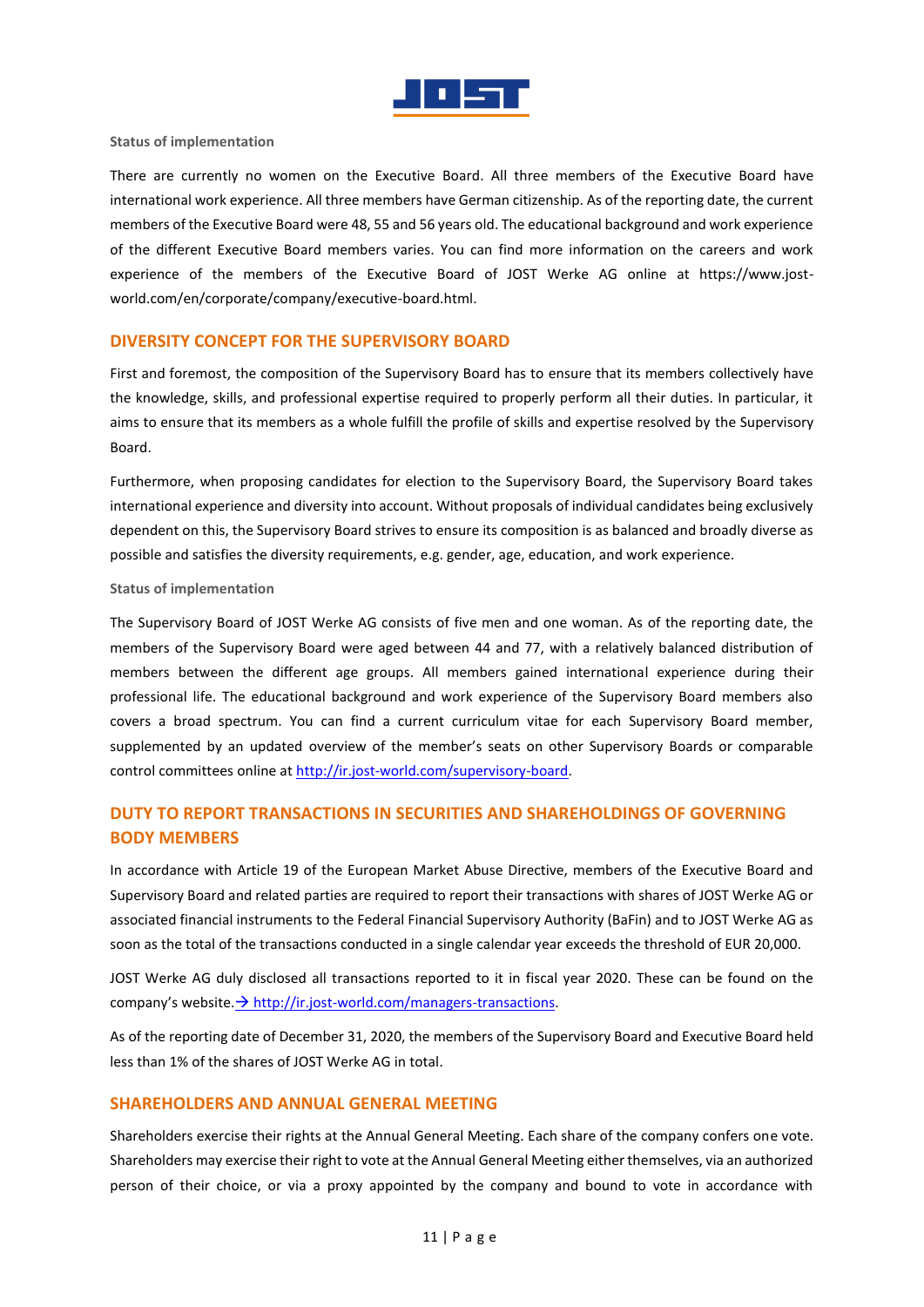

#### **Status of implementation**

There are currently no women on the Executive Board. All three members of the Executive Board have international work experience. All three members have German citizenship. As of the reporting date, the current members of the Executive Board were 48, 55 and 56 years old. The educational background and work experience of the different Executive Board members varies. You can find more information on the careers and work experience of the members of the Executive Board of JOST Werke AG online at https://www.jostworld.com/en/corporate/company/executive-board.html.

## **DIVERSITY CONCEPT FOR THE SUPERVISORY BOARD**

First and foremost, the composition of the Supervisory Board has to ensure that its members collectively have the knowledge, skills, and professional expertise required to properly perform all their duties. In particular, it aims to ensure that its members as a whole fulfill the profile of skills and expertise resolved by the Supervisory Board.

Furthermore, when proposing candidates for election to the Supervisory Board, the Supervisory Board takes international experience and diversity into account. Without proposals of individual candidates being exclusively dependent on this, the Supervisory Board strives to ensure its composition is as balanced and broadly diverse as possible and satisfies the diversity requirements, e.g. gender, age, education, and work experience.

#### **Status of implementation**

The Supervisory Board of JOST Werke AG consists of five men and one woman. As of the reporting date, the members of the Supervisory Board were aged between 44 and 77, with a relatively balanced distribution of members between the different age groups. All members gained international experience during their professional life. The educational background and work experience of the Supervisory Board members also covers a broad spectrum. You can find a current curriculum vitae for each Supervisory Board member, supplemented by an updated overview of the member's seats on other Supervisory Boards or comparable control committees online at [http://ir.jost-world.com/supervisory-board.](http://ir.jost-world.com/supervisory-board)

# **DUTY TO REPORT TRANSACTIONS IN SECURITIES AND SHAREHOLDINGS OF GOVERNING BODY MEMBERS**

In accordance with Article 19 of the European Market Abuse Directive, members of the Executive Board and Supervisory Board and related parties are required to report their transactions with shares of JOST Werke AG or associated financial instruments to the Federal Financial Supervisory Authority (BaFin) and to JOST Werke AG as soon as the total of the transactions conducted in a single calendar year exceeds the threshold of EUR 20,000.

JOST Werke AG duly disclosed all transactions reported to it in fiscal year 2020. These can be found on the company's website.  $\rightarrow$  [http://ir.jost-world.com/managers-transactions.](http://ir.jost-world.com/managers-transactions)

As of the reporting date of December 31, 2020, the members of the Supervisory Board and Executive Board held less than 1% of the shares of JOST Werke AG in total.

# **SHAREHOLDERS AND ANNUAL GENERAL MEETING**

Shareholders exercise their rights at the Annual General Meeting. Each share of the company confers one vote. Shareholders may exercise their right to vote at the Annual General Meeting either themselves, via an authorized person of their choice, or via a proxy appointed by the company and bound to vote in accordance with